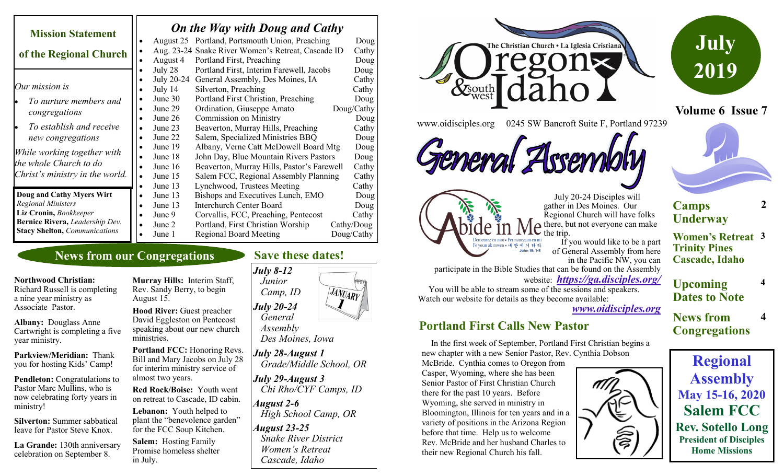| <b>Mission Statement</b>             |           | On the Way with Doug and Cathy |                                                    |  |            |
|--------------------------------------|-----------|--------------------------------|----------------------------------------------------|--|------------|
|                                      |           |                                | August 25 Portland, Portsmouth Union, Preaching    |  | Doug       |
| of the Regional Church               | ٠         |                                | Aug. 23-24 Snake River Women's Retreat, Cascade ID |  | Cathy      |
|                                      |           | August 4                       | Portland First, Preaching                          |  | Doug       |
|                                      |           | July 28                        | Portland First, Interim Farewell, Jacobs           |  | Doug       |
|                                      |           | July 20-24                     | General Assembly, Des Moines, IA                   |  | Cathy      |
| Our mission is                       | ٠         | July $14$                      | Silverton, Preaching                               |  | Cathy      |
| To nurture members and               |           | June $30$                      | Portland First Christian, Preaching                |  | Doug       |
| congregations                        |           | June 29                        | Ordination, Giuseppe Amato                         |  | Doug/Cathy |
|                                      |           | June 26                        | <b>Commission on Ministry</b>                      |  | Doug       |
| To establish and receive             |           | June 23                        | Beaverton, Murray Hills, Preaching                 |  | Cathy      |
| new congregations                    |           | June 22                        | Salem, Specialized Ministries BBQ                  |  | Doug       |
|                                      |           | June 19                        | Albany, Verne Catt McDowell Board Mtg              |  | Doug       |
| While working together with          |           | June 18                        | John Day, Blue Mountain Rivers Pastors             |  | Doug       |
| the whole Church to do               |           | June 16                        | Beaverton, Murray Hills, Pastor's Farewell         |  | Cathy      |
| Christ's ministry in the world.      | $\bullet$ | June 15                        | Salem FCC, Regional Assembly Planning              |  | Cathy      |
|                                      |           | June 13                        | Lynchwood, Trustees Meeting                        |  | Cathy      |
| Doug and Cathy Myers Wirt            |           | June 13                        | Bishops and Executives Lunch, EMO                  |  | Doug       |
| <b>Regional Ministers</b>            |           | June 13                        | <b>Interchurch Center Board</b>                    |  | Doug       |
| Liz Cronin, Bookkeeper               | $\bullet$ | June 9                         | Corvallis, FCC, Preaching, Pentecost               |  | Cathy      |
| Bernice Rivera, Leadership Dev.      |           | June 2                         | Portland, First Christian Worship                  |  | Cathy/Doug |
| <b>Stacy Shelton, Communications</b> |           | June 1                         | <b>Regional Board Meeting</b>                      |  | Doug/Cathy |

## **News from our Congregations**

#### **Northwood Christian:**

Richard Russell is completing a nine year ministry as Associate Pastor.

**Albany:** Douglass Anne Cartwright is completing a five year ministry.

**Parkview/Meridian:** Thank you for hosting Kids' Camp!

**Pendleton:** Congratulations to Pastor Marc Mullins, who is now celebrating forty years in ministry!

**Silverton:** Summer sabbatical leave for Pastor Steve Knox.

**La Grande:** 130th anniversary celebration on September 8.

**Murray Hills:** Interim Staff, Rev. Sandy Berry, to begin August 15.

**Hood River:** Guest preacher David Eggleston on Pentecost speaking about our new church ministries.

**Portland FCC:** Honoring Revs. Bill and Mary Jacobs on July 28 for interim ministry service of almost two years.

**Red Rock/Boise:** Youth went on retreat to Cascade, ID cabin.

**Lebanon:** Youth helped to plant the "benevolence garden" for the FCC Soup Kitchen.

**Salem:** Hosting Family Promise homeless shelter in July.

## **Save these dates!**



 *Des Moines, Iowa*

*July 28-August 1 Grade/Middle School, OR*

*July 29-August 3 Chi Rho/CYF Camps, ID August 2-6*

 *High School Camp, OR*

*August 23-25 Snake River District Women's Retreat Cascade, Idaho*